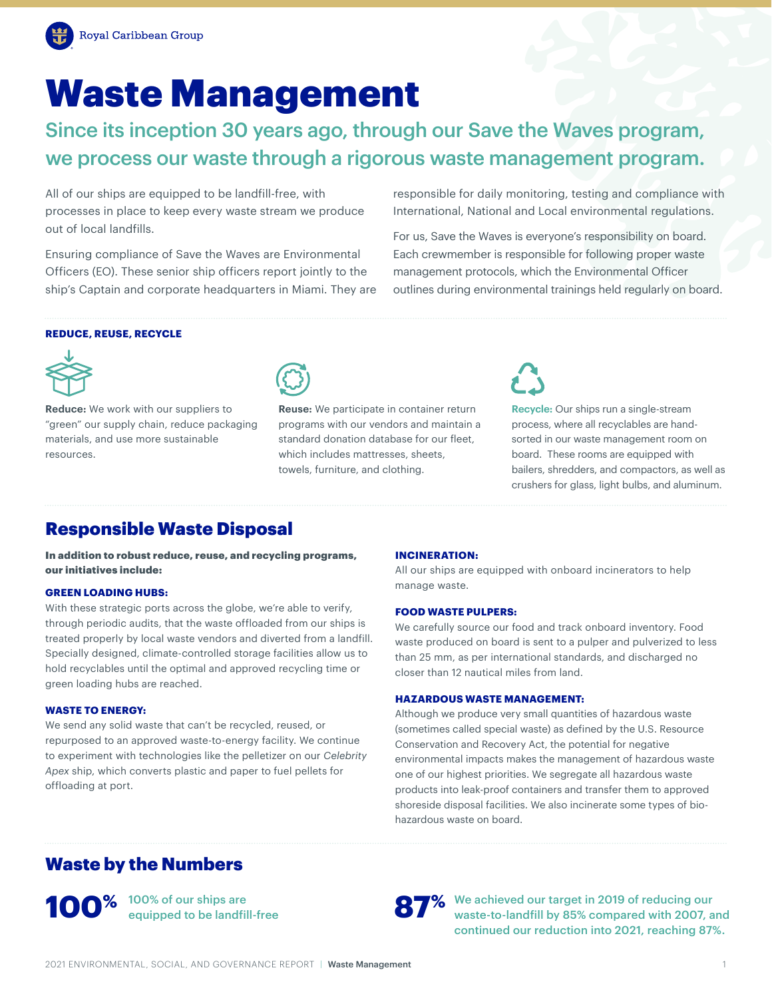# Waste Management

Since its inception 30 years ago, through our Save the Waves program, we process our waste through a rigorous waste management program.

All of our ships are equipped to be landfill-free, with processes in place to keep every waste stream we produce out of local landfills.

Ensuring compliance of Save the Waves are Environmental Officers (EO). These senior ship officers report jointly to the ship's Captain and corporate headquarters in Miami. They are responsible for daily monitoring, testing and compliance with International, National and Local environmental regulations.

For us, Save the Waves is everyone's responsibility on board. Each crewmember is responsible for following proper waste management protocols, which the Environmental Officer outlines during environmental trainings held regularly on board.

## **REDUCE, REUSE, RECYCLE**



**Reduce:** We work with our suppliers to "green" our supply chain, reduce packaging materials, and use more sustainable resources.



 **Reuse:** We participate in container return which includes mattresses, sheets, programs with our vendors and maintain a standard donation database for our fleet, towels, furniture, and clothing.



 **Recycle:** Our ships run a single-stream process, where all recyclables are hand- board. These rooms are equipped with sorted in our waste management room on bailers, shredders, and compactors, as well as crushers for glass, light bulbs, and aluminum.

# Responsible Waste Disposal

In addition to robust reduce, reuse, and recycling programs, our initiatives include:

#### **GREEN LOADING HUBS:**

With these strategic ports across the globe, we're able to verify, through periodic audits, that the waste offloaded from our ships is treated properly by local waste vendors and diverted from a landfill. Specially designed, climate-controlled storage facilities allow us to hold recyclables until the optimal and approved recycling time or green loading hubs are reached.

#### **WASTE TO ENERGY:**

We send any solid waste that can't be recycled, reused, or repurposed to an approved waste-to-energy facility. We continue to experiment with technologies like the pelletizer on our *Celebrity Apex* ship, which converts plastic and paper to fuel pellets for offloading at port.

## **INCINERATION:**

All our ships are equipped with onboard incinerators to help manage waste.

## **FOOD WASTE PULPERS:**

We carefully source our food and track onboard inventory. Food waste produced on board is sent to a pulper and pulverized to less than 25 mm, as per international standards, and discharged no closer than 12 nautical miles from land.

## **HAZARDOUS WASTE MANAGEMENT:**

Although we produce very small quantities of hazardous waste (sometimes called special waste) as defined by the U.S. Resource Conservation and Recovery Act, the potential for negative environmental impacts makes the management of hazardous waste one of our highest priorities. We segregate all hazardous waste products into leak-proof containers and transfer them to approved shoreside disposal facilities. We also incinerate some types of biohazardous waste on board.

## Waste by the Numbers

**100%** <sup>100% of our ships are<br>equipped to be landfill-free</sup>



We achieved our target in 2019 of reducing our waste-to-landfill by 85% compared with 2007, and continued our reduction into 2021, reaching 87%.